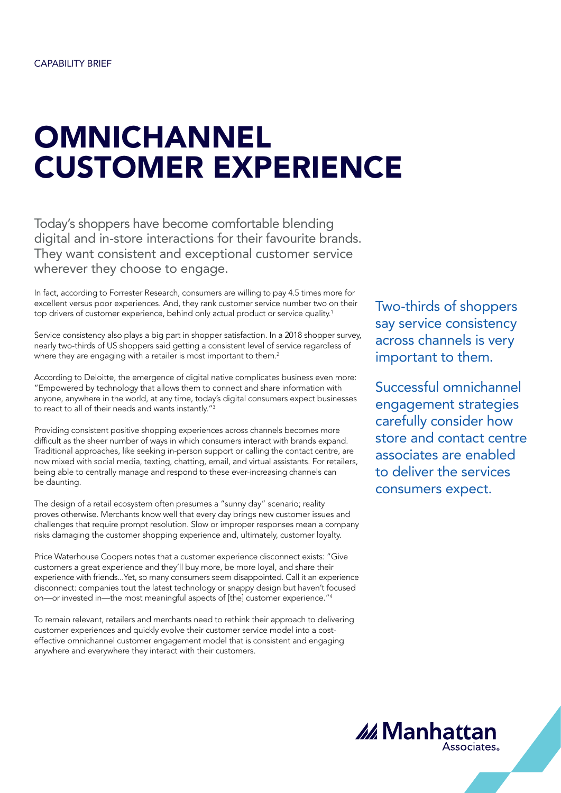# **OMNICHANNEL** CUSTOMER EXPERIENCE

Today's shoppers have become comfortable blending digital and in-store interactions for their favourite brands. They want consistent and exceptional customer service wherever they choose to engage.

In fact, according to Forrester Research, consumers are willing to pay 4.5 times more for excellent versus poor experiences. And, they rank customer service number two on their top drivers of customer experience, behind only actual product or service quality.<sup>1</sup>

Service consistency also plays a big part in shopper satisfaction. In a 2018 shopper survey, nearly two-thirds of US shoppers said getting a consistent level of service regardless of where they are engaging with a retailer is most important to them.<sup>2</sup>

According to Deloitte, the emergence of digital native complicates business even more: "Empowered by technology that allows them to connect and share information with anyone, anywhere in the world, at any time, today's digital consumers expect businesses to react to all of their needs and wants instantly."3

Providing consistent positive shopping experiences across channels becomes more difficult as the sheer number of ways in which consumers interact with brands expand. Traditional approaches, like seeking in-person support or calling the contact centre, are now mixed with social media, texting, chatting, email, and virtual assistants. For retailers, being able to centrally manage and respond to these ever-increasing channels can be daunting.

The design of a retail ecosystem often presumes a "sunny day" scenario; reality proves otherwise. Merchants know well that every day brings new customer issues and challenges that require prompt resolution. Slow or improper responses mean a company risks damaging the customer shopping experience and, ultimately, customer loyalty.

Price Waterhouse Coopers notes that a customer experience disconnect exists: "Give customers a great experience and they'll buy more, be more loyal, and share their experience with friends...Yet, so many consumers seem disappointed. Call it an experience disconnect: companies tout the latest technology or snappy design but haven't focused on—or invested in—the most meaningful aspects of [the] customer experience."4

To remain relevant, retailers and merchants need to rethink their approach to delivering customer experiences and quickly evolve their customer service model into a costeffective omnichannel customer engagement model that is consistent and engaging anywhere and everywhere they interact with their customers.

Two-thirds of shoppers say service consistency across channels is very important to them.

Successful omnichannel engagement strategies carefully consider how store and contact centre associates are enabled to deliver the services consumers expect.